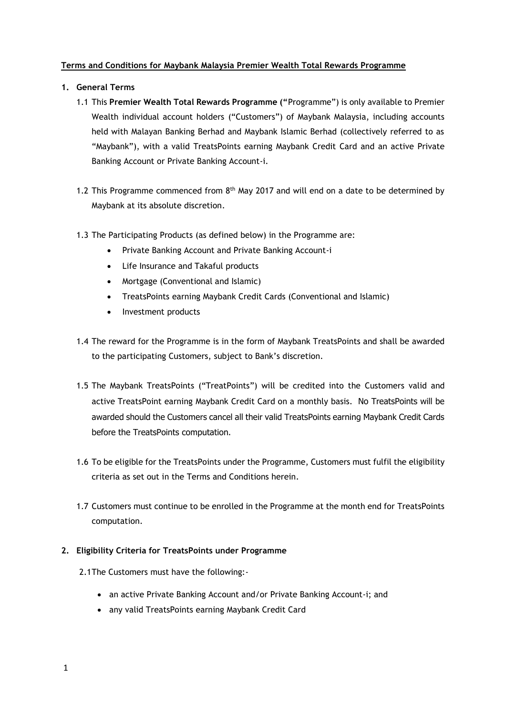## **Terms and Conditions for Maybank Malaysia Premier Wealth Total Rewards Programme**

- **1. General Terms** 
	- 1.1 This **Premier Wealth Total Rewards Programme ("**Programme") is only available to Premier Wealth individual account holders ("Customers") of Maybank Malaysia, including accounts held with Malayan Banking Berhad and Maybank Islamic Berhad (collectively referred to as "Maybank"), with a valid TreatsPoints earning Maybank Credit Card and an active Private Banking Account or Private Banking Account-i.
	- 1.2 This Programme commenced from  $8<sup>th</sup>$  May 2017 and will end on a date to be determined by Maybank at its absolute discretion.
	- 1.3 The Participating Products (as defined below) in the Programme are:
		- Private Banking Account and Private Banking Account-i
		- Life Insurance and Takaful products
		- Mortgage (Conventional and Islamic)
		- TreatsPoints earning Maybank Credit Cards (Conventional and Islamic)
		- Investment products
	- 1.4 The reward for the Programme is in the form of Maybank TreatsPoints and shall be awarded to the participating Customers, subject to Bank's discretion.
	- 1.5 The Maybank TreatsPoints ("TreatPoints") will be credited into the Customers valid and active TreatsPoint earning Maybank Credit Card on a monthly basis. No TreatsPoints will be awarded should the Customers cancel all their valid TreatsPoints earning Maybank Credit Cards before the TreatsPoints computation.
	- 1.6 To be eligible for the TreatsPoints under the Programme, Customers must fulfil the eligibility criteria as set out in the Terms and Conditions herein.
	- 1.7 Customers must continue to be enrolled in the Programme at the month end for TreatsPoints computation.

#### **2. Eligibility Criteria for TreatsPoints under Programme**

- 2.1The Customers must have the following:
	- an active Private Banking Account and/or Private Banking Account-i; and
	- any valid TreatsPoints earning Maybank Credit Card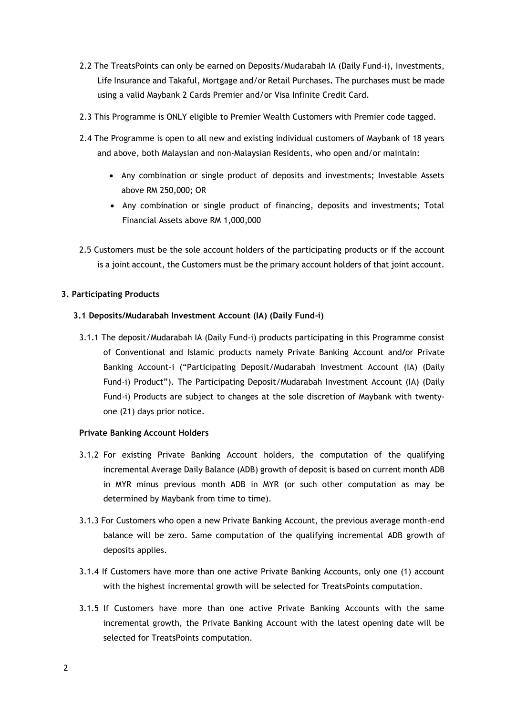- 2.2 The TreatsPoints can only be earned on Deposits/Mudarabah IA (Daily Fund-i), Investments, Life Insurance and Takaful, Mortgage and/or Retail Purchases**.** The purchases must be made using a valid Maybank 2 Cards Premier and/or Visa Infinite Credit Card.
- 2.3 This Programme is ONLY eligible to Premier Wealth Customers with Premier code tagged.
- 2.4 The Programme is open to all new and existing individual customers of Maybank of 18 years and above, both Malaysian and non-Malaysian Residents, who open and/or maintain:
	- Any combination or single product of deposits and investments; Investable Assets above RM 250,000; OR
	- Any combination or single product of financing, deposits and investments; Total Financial Assets above RM 1,000,000
- 2.5 Customers must be the sole account holders of the participating products or if the account is a joint account, the Customers must be the primary account holders of that joint account.

#### **3. Participating Products**

## **3.1 Deposits/Mudarabah Investment Account (IA) (Daily Fund-i)**

3.1.1 The deposit/Mudarabah IA (Daily Fund-i) products participating in this Programme consist of Conventional and Islamic products namely Private Banking Account and**/**or Private Banking Account-i ("Participating Deposit/Mudarabah Investment Account (IA) (Daily Fund-i) Product"). The Participating Deposit/Mudarabah Investment Account (IA) (Daily Fund-i) Products are subject to changes at the sole discretion of Maybank with twentyone (21) days prior notice.

#### **Private Banking Account Holders**

- 3.1.2 For existing Private Banking Account holders, the computation of the qualifying incremental Average Daily Balance (ADB) growth of deposit is based on current month ADB in MYR minus previous month ADB in MYR (or such other computation as may be determined by Maybank from time to time).
- 3.1.3 For Customers who open a new Private Banking Account, the previous average month-end balance will be zero. Same computation of the qualifying incremental ADB growth of deposits applies.
- 3.1.4 If Customers have more than one active Private Banking Accounts, only one (1) account with the highest incremental growth will be selected for TreatsPoints computation.
- 3.1.5 If Customers have more than one active Private Banking Accounts with the same incremental growth, the Private Banking Account with the latest opening date will be selected for TreatsPoints computation.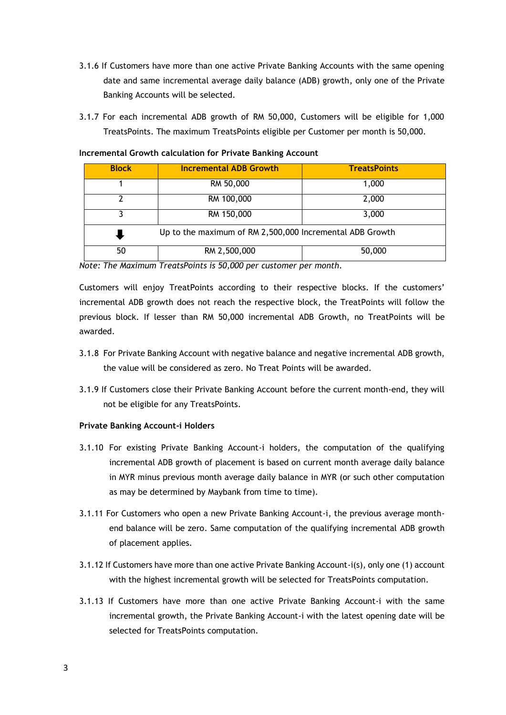- 3.1.6 If Customers have more than one active Private Banking Accounts with the same opening date and same incremental average daily balance (ADB) growth, only one of the Private Banking Accounts will be selected.
- 3.1.7 For each incremental ADB growth of RM 50,000, Customers will be eligible for 1,000 TreatsPoints. The maximum TreatsPoints eligible per Customer per month is 50,000.

| <b>Block</b>                                             | <b>Incremental ADB Growth</b> | <b>TreatsPoints</b> |
|----------------------------------------------------------|-------------------------------|---------------------|
|                                                          | RM 50,000                     | 1,000               |
|                                                          | RM 100,000                    | 2,000               |
|                                                          | RM 150,000                    | 3,000               |
| Up to the maximum of RM 2,500,000 Incremental ADB Growth |                               |                     |
| 50                                                       | RM 2,500,000                  | 50,000              |

#### **Incremental Growth calculation for Private Banking Account**

*Note: The Maximum TreatsPoints is 50,000 per customer per month.* 

Customers will enjoy TreatPoints according to their respective blocks. If the customers' incremental ADB growth does not reach the respective block, the TreatPoints will follow the previous block. If lesser than RM 50,000 incremental ADB Growth, no TreatPoints will be awarded.

- 3.1.8 For Private Banking Account with negative balance and negative incremental ADB growth, the value will be considered as zero. No Treat Points will be awarded.
- 3.1.9 If Customers close their Private Banking Account before the current month-end, they will not be eligible for any TreatsPoints.

#### **Private Banking Account-i Holders**

- 3.1.10 For existing Private Banking Account-i holders, the computation of the qualifying incremental ADB growth of placement is based on current month average daily balance in MYR minus previous month average daily balance in MYR (or such other computation as may be determined by Maybank from time to time).
- 3.1.11 For Customers who open a new Private Banking Account-i, the previous average monthend balance will be zero. Same computation of the qualifying incremental ADB growth of placement applies.
- 3.1.12 If Customers have more than one active Private Banking Account-i(s), only one (1) account with the highest incremental growth will be selected for TreatsPoints computation.
- 3.1.13 If Customers have more than one active Private Banking Account-i with the same incremental growth, the Private Banking Account-i with the latest opening date will be selected for TreatsPoints computation.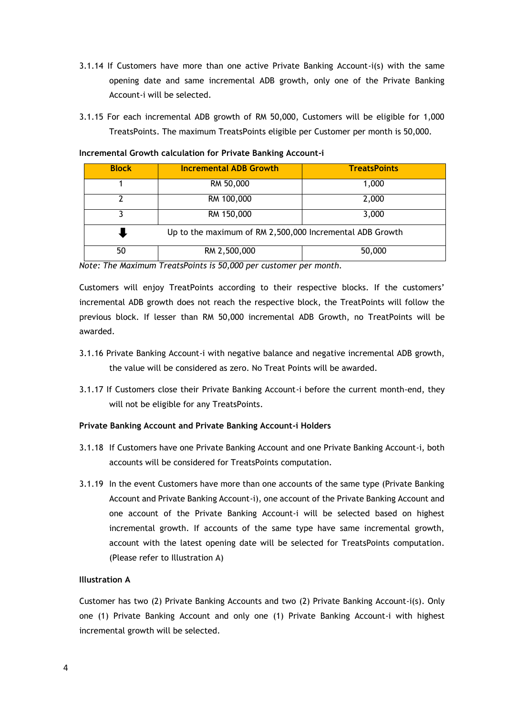- 3.1.14 If Customers have more than one active Private Banking Account-i(s) with the same opening date and same incremental ADB growth, only one of the Private Banking Account-i will be selected.
- 3.1.15 For each incremental ADB growth of RM 50,000, Customers will be eligible for 1,000 TreatsPoints. The maximum TreatsPoints eligible per Customer per month is 50,000.

| <b>Block</b> | <b>Incremental ADB Growth</b>                            | <b>TreatsPoints</b> |
|--------------|----------------------------------------------------------|---------------------|
|              | RM 50,000                                                | 1,000               |
|              | RM 100,000                                               | 2,000               |
|              | RM 150,000                                               | 3,000               |
|              | Up to the maximum of RM 2,500,000 Incremental ADB Growth |                     |
| 50           | RM 2,500,000                                             | 50,000              |

**Incremental Growth calculation for Private Banking Account-i**

*Note: The Maximum TreatsPoints is 50,000 per customer per month.* 

Customers will enjoy TreatPoints according to their respective blocks. If the customers' incremental ADB growth does not reach the respective block, the TreatPoints will follow the previous block. If lesser than RM 50,000 incremental ADB Growth, no TreatPoints will be awarded.

- 3.1.16 Private Banking Account-i with negative balance and negative incremental ADB growth, the value will be considered as zero. No Treat Points will be awarded.
- 3.1.17 If Customers close their Private Banking Account-i before the current month-end, they will not be eligible for any TreatsPoints.

#### **Private Banking Account and Private Banking Account-i Holders**

- 3.1.18 If Customers have one Private Banking Account and one Private Banking Account-i, both accounts will be considered for TreatsPoints computation.
- 3.1.19 In the event Customers have more than one accounts of the same type (Private Banking Account and Private Banking Account-i), one account of the Private Banking Account and one account of the Private Banking Account-i will be selected based on highest incremental growth. If accounts of the same type have same incremental growth, account with the latest opening date will be selected for TreatsPoints computation. (Please refer to Illustration A)

#### **Illustration A**

Customer has two (2) Private Banking Accounts and two (2) Private Banking Account-i(s). Only one (1) Private Banking Account and only one (1) Private Banking Account-i with highest incremental growth will be selected.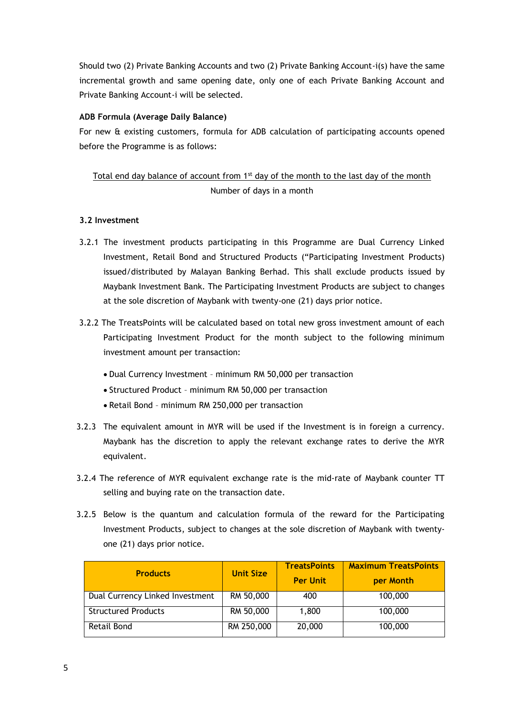Should two (2) Private Banking Accounts and two (2) Private Banking Account-i(s) have the same incremental growth and same opening date, only one of each Private Banking Account and Private Banking Account-i will be selected.

## **ADB Formula (Average Daily Balance)**

For new & existing customers, formula for ADB calculation of participating accounts opened before the Programme is as follows:

# Total end day balance of account from  $1<sup>st</sup>$  day of the month to the last day of the month Number of days in a month

## **3.2 Investment**

- 3.2.1 The investment products participating in this Programme are Dual Currency Linked Investment, Retail Bond and Structured Products ("Participating Investment Products) issued/distributed by Malayan Banking Berhad. This shall exclude products issued by Maybank Investment Bank. The Participating Investment Products are subject to changes at the sole discretion of Maybank with twenty-one (21) days prior notice.
- 3.2.2 The TreatsPoints will be calculated based on total new gross investment amount of each Participating Investment Product for the month subject to the following minimum investment amount per transaction:
	- Dual Currency Investment minimum RM 50,000 per transaction
	- Structured Product minimum RM 50,000 per transaction
	- Retail Bond minimum RM 250,000 per transaction
- 3.2.3 The equivalent amount in MYR will be used if the Investment is in foreign a currency. Maybank has the discretion to apply the relevant exchange rates to derive the MYR equivalent.
- 3.2.4 The reference of MYR equivalent exchange rate is the mid-rate of Maybank counter TT selling and buying rate on the transaction date.
- 3.2.5 Below is the quantum and calculation formula of the reward for the Participating Investment Products, subject to changes at the sole discretion of Maybank with twentyone (21) days prior notice.

| <b>Products</b>                 | <b>Unit Size</b> | <b>TreatsPoints</b><br><b>Per Unit</b> | <b>Maximum TreatsPoints</b><br>per Month |
|---------------------------------|------------------|----------------------------------------|------------------------------------------|
| Dual Currency Linked Investment | RM 50,000        | 400                                    | 100,000                                  |
| <b>Structured Products</b>      | RM 50,000        | 1,800                                  | 100,000                                  |
| Retail Bond                     | RM 250,000       | 20,000                                 | 100,000                                  |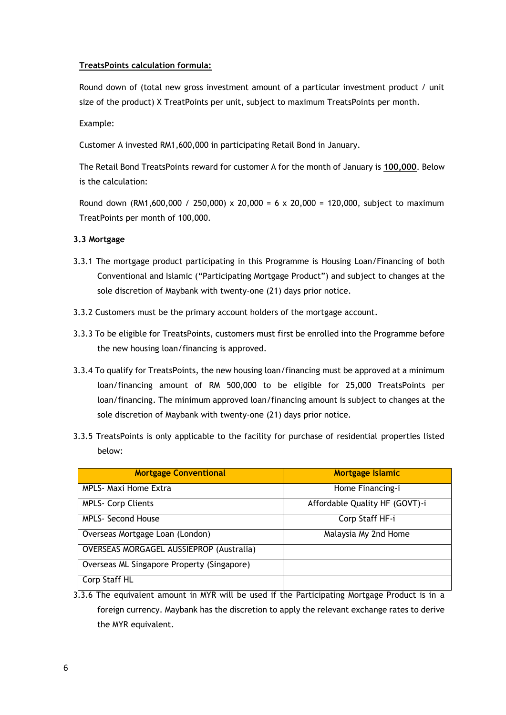## **TreatsPoints calculation formula:**

Round down of (total new gross investment amount of a particular investment product / unit size of the product) X TreatPoints per unit, subject to maximum TreatsPoints per month.

Example:

Customer A invested RM1,600,000 in participating Retail Bond in January.

The Retail Bond TreatsPoints reward for customer A for the month of January is **100,000**. Below is the calculation:

Round down (RM1,600,000 / 250,000) x 20,000 = 6 x 20,000 = 120,000, subject to maximum TreatPoints per month of 100,000.

## **3.3 Mortgage**

- 3.3.1 The mortgage product participating in this Programme is Housing Loan/Financing of both Conventional and Islamic ("Participating Mortgage Product") and subject to changes at the sole discretion of Maybank with twenty-one (21) days prior notice.
- 3.3.2 Customers must be the primary account holders of the mortgage account.
- 3.3.3 To be eligible for TreatsPoints, customers must first be enrolled into the Programme before the new housing loan/financing is approved.
- 3.3.4 To qualify for TreatsPoints, the new housing loan/financing must be approved at a minimum loan/financing amount of RM 500,000 to be eligible for 25,000 TreatsPoints per loan/financing. The minimum approved loan/financing amount is subject to changes at the sole discretion of Maybank with twenty-one (21) days prior notice.
- 3.3.5 TreatsPoints is only applicable to the facility for purchase of residential properties listed below:

| <b>Mortgage Conventional</b>                    | <b>Mortgage Islamic</b>        |
|-------------------------------------------------|--------------------------------|
| <b>MPLS- Maxi Home Extra</b>                    | Home Financing-i               |
| <b>MPLS- Corp Clients</b>                       | Affordable Quality HF (GOVT)-i |
| <b>MPLS- Second House</b>                       | Corp Staff HF-i                |
| Overseas Mortgage Loan (London)                 | Malaysia My 2nd Home           |
| <b>OVERSEAS MORGAGEL AUSSIEPROP (Australia)</b> |                                |
| Overseas ML Singapore Property (Singapore)      |                                |
| Corp Staff HL                                   |                                |

3.3.6 The equivalent amount in MYR will be used if the Participating Mortgage Product is in a foreign currency. Maybank has the discretion to apply the relevant exchange rates to derive the MYR equivalent.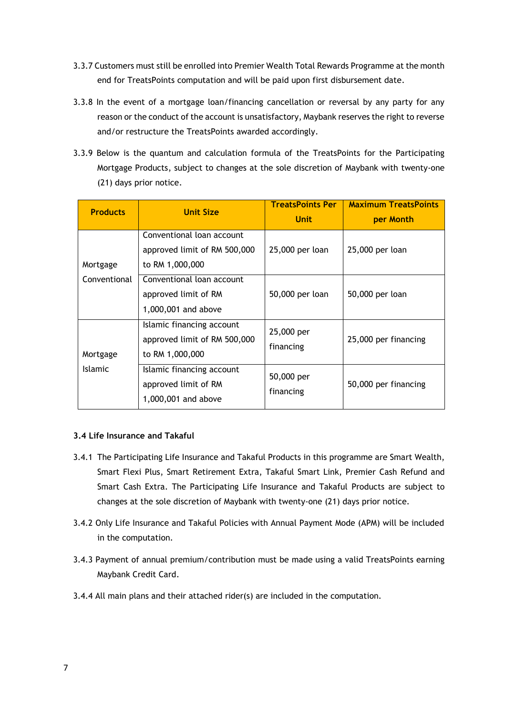- 3.3.7 Customers must still be enrolled into Premier Wealth Total Rewards Programme at the month end for TreatsPoints computation and will be paid upon first disbursement date.
- 3.3.8 In the event of a mortgage loan/financing cancellation or reversal by any party for any reason or the conduct of the account is unsatisfactory, Maybank reserves the right to reverse and/or restructure the TreatsPoints awarded accordingly.
- 3.3.9 Below is the quantum and calculation formula of the TreatsPoints for the Participating Mortgage Products, subject to changes at the sole discretion of Maybank with twenty-one (21) days prior notice.

| <b>Products</b> | <b>Unit Size</b>                                                             | <b>TreatsPoints Per</b><br><b>Unit</b> | <b>Maximum TreatsPoints</b><br>per Month |
|-----------------|------------------------------------------------------------------------------|----------------------------------------|------------------------------------------|
| Mortgage        | Conventional loan account<br>approved limit of RM 500,000<br>to RM 1,000,000 | 25,000 per loan                        | 25,000 per loan                          |
| Conventional    | Conventional loan account<br>approved limit of RM<br>1,000,001 and above     | 50,000 per loan                        | 50,000 per loan                          |
| Mortgage        | Islamic financing account<br>approved limit of RM 500,000<br>to RM 1,000,000 | 25,000 per<br>financing                | 25,000 per financing                     |
| <b>Islamic</b>  | Islamic financing account<br>approved limit of RM<br>1,000,001 and above     | 50,000 per<br>financing                | 50,000 per financing                     |

## **3.4 Life Insurance and Takaful**

- 3.4.1 The Participating Life Insurance and Takaful Products in this programme are Smart Wealth, Smart Flexi Plus, Smart Retirement Extra, Takaful Smart Link, Premier Cash Refund and Smart Cash Extra. The Participating Life Insurance and Takaful Products are subject to changes at the sole discretion of Maybank with twenty-one (21) days prior notice.
- 3.4.2 Only Life Insurance and Takaful Policies with Annual Payment Mode (APM) will be included in the computation.
- 3.4.3 Payment of annual premium/contribution must be made using a valid TreatsPoints earning Maybank Credit Card.
- 3.4.4 All main plans and their attached rider(s) are included in the computation.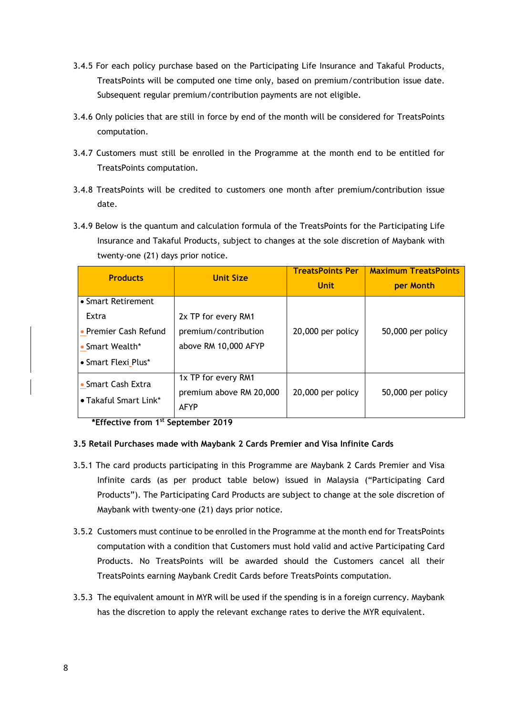- 3.4.5 For each policy purchase based on the Participating Life Insurance and Takaful Products, TreatsPoints will be computed one time only, based on premium/contribution issue date. Subsequent regular premium/contribution payments are not eligible.
- 3.4.6 Only policies that are still in force by end of the month will be considered for TreatsPoints computation.
- 3.4.7 Customers must still be enrolled in the Programme at the month end to be entitled for TreatsPoints computation.
- 3.4.8 TreatsPoints will be credited to customers one month after premium**/**contribution issue date.
- 3.4.9 Below is the quantum and calculation formula of the TreatsPoints for the Participating Life Insurance and Takaful Products, subject to changes at the sole discretion of Maybank with twenty-one (21) days prior notice.

| <b>Products</b>                                                                                | <b>Unit Size</b>                                                    | <b>TreatsPoints Per</b><br><b>Unit</b> | <b>Maximum TreatsPoints</b><br>per Month |
|------------------------------------------------------------------------------------------------|---------------------------------------------------------------------|----------------------------------------|------------------------------------------|
| • Smart Retirement<br>Extra<br>• Premier Cash Refund<br>• Smart Wealth*<br>• Smart Flexi Plus* | 2x TP for every RM1<br>premium/contribution<br>above RM 10,000 AFYP | 20,000 per policy                      | 50,000 per policy                        |
| • Smart Cash Extra<br>• Takaful Smart Link*                                                    | 1x TP for every RM1<br>premium above RM 20,000<br><b>AFYP</b>       | 20,000 per policy                      | 50,000 per policy                        |

**\*Effective from 1st September 2019**

## **3.5 Retail Purchases made with Maybank 2 Cards Premier and Visa Infinite Cards**

- 3.5.1 The card products participating in this Programme are Maybank 2 Cards Premier and Visa Infinite cards (as per product table below) issued in Malaysia ("Participating Card Products"). The Participating Card Products are subject to change at the sole discretion of Maybank with twenty-one (21) days prior notice.
- 3.5.2 Customers must continue to be enrolled in the Programme at the month end for TreatsPoints computation with a condition that Customers must hold valid and active Participating Card Products. No TreatsPoints will be awarded should the Customers cancel all their TreatsPoints earning Maybank Credit Cards before TreatsPoints computation.
- 3.5.3 The equivalent amount in MYR will be used if the spending is in a foreign currency. Maybank has the discretion to apply the relevant exchange rates to derive the MYR equivalent.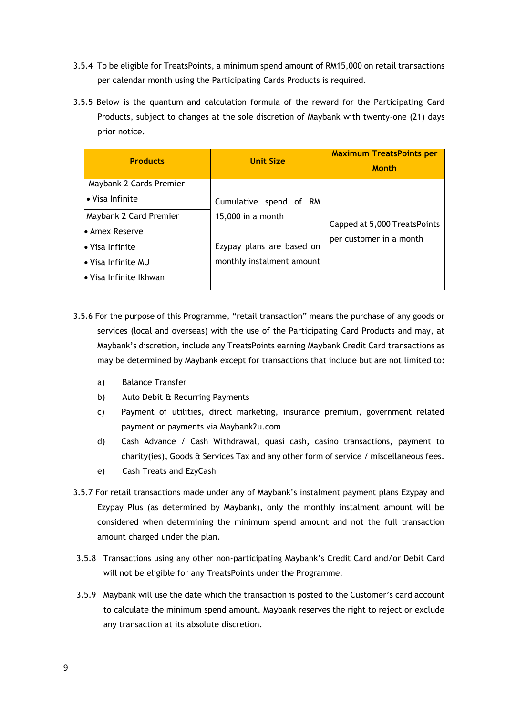- 3.5.4 To be eligible for TreatsPoints, a minimum spend amount of RM15,000 on retail transactions per calendar month using the Participating Cards Products is required.
- 3.5.5 Below is the quantum and calculation formula of the reward for the Participating Card Products, subject to changes at the sole discretion of Maybank with twenty-one (21) days prior notice.

| <b>Products</b>         | <b>Unit Size</b>          | <b>Maximum TreatsPoints per</b><br><b>Month</b> |
|-------------------------|---------------------------|-------------------------------------------------|
| Maybank 2 Cards Premier |                           |                                                 |
| • Visa Infinite         | Cumulative spend of RM    |                                                 |
| Maybank 2 Card Premier  | 15,000 in a month         | Capped at 5,000 TreatsPoints                    |
| • Amex Reserve          |                           | per customer in a month                         |
| • Visa Infinite         | Ezypay plans are based on |                                                 |
| • Visa Infinite MU      | monthly instalment amount |                                                 |
| • Visa Infinite Ikhwan  |                           |                                                 |

- 3.5.6 For the purpose of this Programme, "retail transaction" means the purchase of any goods or services (local and overseas) with the use of the Participating Card Products and may, at Maybank's discretion, include any TreatsPoints earning Maybank Credit Card transactions as may be determined by Maybank except for transactions that include but are not limited to:
	- a) Balance Transfer
	- b) Auto Debit & Recurring Payments
	- c) Payment of utilities, direct marketing, insurance premium, government related payment or payments via Maybank2u.com
	- d) Cash Advance / Cash Withdrawal, quasi cash, casino transactions, payment to charity(ies), Goods & Services Tax and any other form of service / miscellaneous fees.
	- e) Cash Treats and EzyCash
- 3.5.7 For retail transactions made under any of Maybank's instalment payment plans Ezypay and Ezypay Plus (as determined by Maybank), only the monthly instalment amount will be considered when determining the minimum spend amount and not the full transaction amount charged under the plan.
- 3.5.8 Transactions using any other non-participating Maybank's Credit Card and/or Debit Card will not be eligible for any TreatsPoints under the Programme.
- 3.5.9 Maybank will use the date which the transaction is posted to the Customer's card account to calculate the minimum spend amount. Maybank reserves the right to reject or exclude any transaction at its absolute discretion.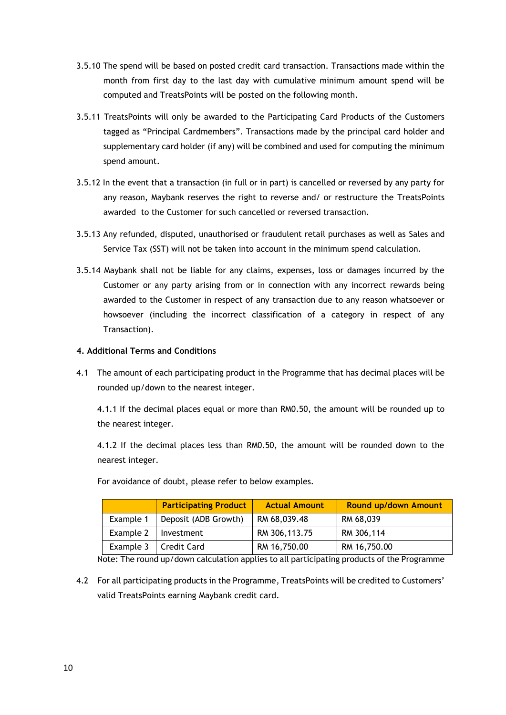- 3.5.10 The spend will be based on posted credit card transaction. Transactions made within the month from first day to the last day with cumulative minimum amount spend will be computed and TreatsPoints will be posted on the following month.
- 3.5.11 TreatsPoints will only be awarded to the Participating Card Products of the Customers tagged as "Principal Cardmembers". Transactions made by the principal card holder and supplementary card holder (if any) will be combined and used for computing the minimum spend amount.
- 3.5.12 In the event that a transaction (in full or in part) is cancelled or reversed by any party for any reason, Maybank reserves the right to reverse and/ or restructure the TreatsPoints awarded to the Customer for such cancelled or reversed transaction.
- 3.5.13 Any refunded, disputed, unauthorised or fraudulent retail purchases as well as Sales and Service Tax (SST) will not be taken into account in the minimum spend calculation.
- 3.5.14 Maybank shall not be liable for any claims, expenses, loss or damages incurred by the Customer or any party arising from or in connection with any incorrect rewards being awarded to the Customer in respect of any transaction due to any reason whatsoever or howsoever (including the incorrect classification of a category in respect of any Transaction).

## **4. Additional Terms and Conditions**

4.1 The amount of each participating product in the Programme that has decimal places will be rounded up/down to the nearest integer.

4.1.1 If the decimal places equal or more than RM0.50, the amount will be rounded up to the nearest integer.

4.1.2 If the decimal places less than RM0.50, the amount will be rounded down to the nearest integer.

|           | <b>Participating Product</b> | <b>Actual Amount</b> | <b>Round up/down Amount</b> |
|-----------|------------------------------|----------------------|-----------------------------|
| Example 1 | Deposit (ADB Growth)         | RM 68,039.48         | RM 68,039                   |
| Example 2 | Investment                   | RM 306,113.75        | RM 306,114                  |
| Example 3 | Credit Card                  | RM 16,750.00         | RM 16,750.00                |

For avoidance of doubt, please refer to below examples.

Note: The round up/down calculation applies to all participating products of the Programme

4.2 For all participating products in the Programme, TreatsPoints will be credited to Customers' valid TreatsPoints earning Maybank credit card.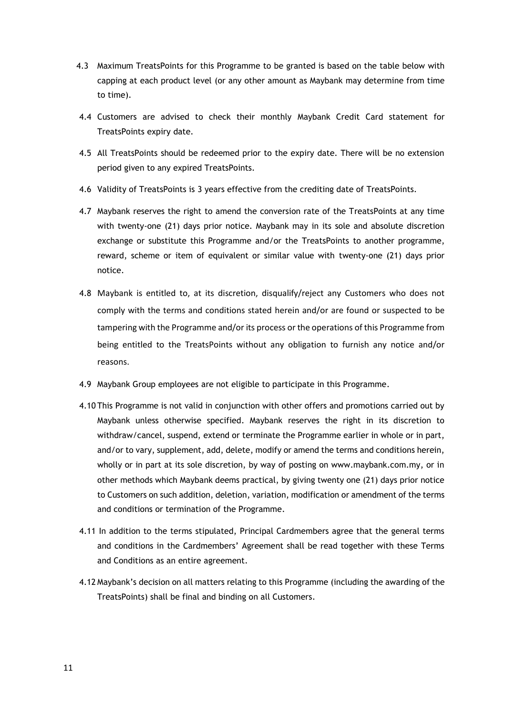- 4.3 Maximum TreatsPoints for this Programme to be granted is based on the table below with capping at each product level (or any other amount as Maybank may determine from time to time).
- 4.4 Customers are advised to check their monthly Maybank Credit Card statement for TreatsPoints expiry date.
- 4.5 All TreatsPoints should be redeemed prior to the expiry date. There will be no extension period given to any expired TreatsPoints.
- 4.6 Validity of TreatsPoints is 3 years effective from the crediting date of TreatsPoints.
- 4.7 Maybank reserves the right to amend the conversion rate of the TreatsPoints at any time with twenty-one (21) days prior notice. Maybank may in its sole and absolute discretion exchange or substitute this Programme and/or the TreatsPoints to another programme, reward, scheme or item of equivalent or similar value with twenty-one (21) days prior notice.
- 4.8 Maybank is entitled to, at its discretion, disqualify/reject any Customers who does not comply with the terms and conditions stated herein and/or are found or suspected to be tampering with the Programme and/or its process or the operations of this Programme from being entitled to the TreatsPoints without any obligation to furnish any notice and/or reasons.
- 4.9 Maybank Group employees are not eligible to participate in this Programme.
- 4.10 This Programme is not valid in conjunction with other offers and promotions carried out by Maybank unless otherwise specified. Maybank reserves the right in its discretion to withdraw/cancel, suspend, extend or terminate the Programme earlier in whole or in part, and/or to vary, supplement, add, delete, modify or amend the terms and conditions herein, wholly or in part at its sole discretion, by way of posting on www.maybank.com.my, or in other methods which Maybank deems practical, by giving twenty one (21) days prior notice to Customers on such addition, deletion, variation, modification or amendment of the terms and conditions or termination of the Programme.
- 4.11 In addition to the terms stipulated, Principal Cardmembers agree that the general terms and conditions in the Cardmembers' Agreement shall be read together with these Terms and Conditions as an entire agreement.
- 4.12 Maybank's decision on all matters relating to this Programme (including the awarding of the TreatsPoints) shall be final and binding on all Customers.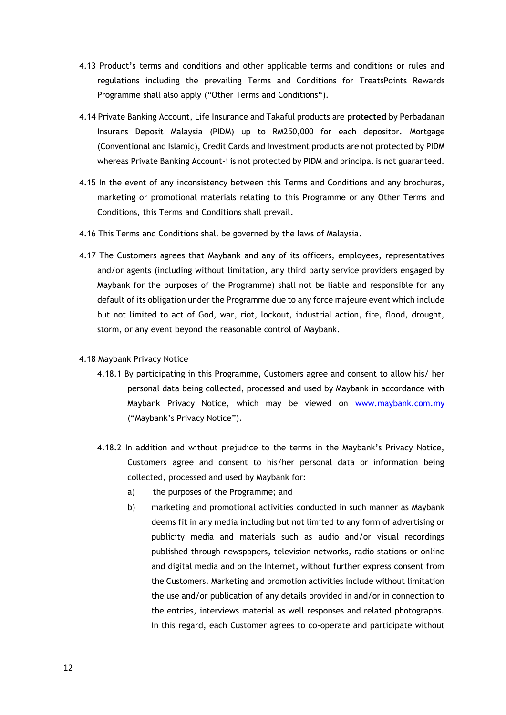- 4.13 Product's terms and conditions and other applicable terms and conditions or rules and regulations including the prevailing Terms and Conditions for TreatsPoints Rewards Programme shall also apply ("Other Terms and Conditions").
- 4.14 Private Banking Account, Life Insurance and Takaful products are **protected** by Perbadanan Insurans Deposit Malaysia (PIDM) up to RM250,000 for each depositor. Mortgage (Conventional and Islamic), Credit Cards and Investment products are not protected by PIDM whereas Private Banking Account-i is not protected by PIDM and principal is not guaranteed.
- 4.15 In the event of any inconsistency between this Terms and Conditions and any brochures, marketing or promotional materials relating to this Programme or any Other Terms and Conditions, this Terms and Conditions shall prevail.
- 4.16 This Terms and Conditions shall be governed by the laws of Malaysia.
- 4.17 The Customers agrees that Maybank and any of its officers, employees, representatives and/or agents (including without limitation, any third party service providers engaged by Maybank for the purposes of the Programme) shall not be liable and responsible for any default of its obligation under the Programme due to any force majeure event which include but not limited to act of God, war, riot, lockout, industrial action, fire, flood, drought, storm, or any event beyond the reasonable control of Maybank.

#### 4.18 Maybank Privacy Notice

- 4.18.1 By participating in this Programme, Customers agree and consent to allow his/ her personal data being collected, processed and used by Maybank in accordance with Maybank Privacy Notice, which may be viewed on [www.maybank.com.my](http://www.maybank.com.my/) ("Maybank's Privacy Notice").
- 4.18.2 In addition and without prejudice to the terms in the Maybank's Privacy Notice, Customers agree and consent to his/her personal data or information being collected, processed and used by Maybank for:
	- a) the purposes of the Programme; and
	- b) marketing and promotional activities conducted in such manner as Maybank deems fit in any media including but not limited to any form of advertising or publicity media and materials such as audio and/or visual recordings published through newspapers, television networks, radio stations or online and digital media and on the Internet, without further express consent from the Customers. Marketing and promotion activities include without limitation the use and/or publication of any details provided in and/or in connection to the entries, interviews material as well responses and related photographs. In this regard, each Customer agrees to co-operate and participate without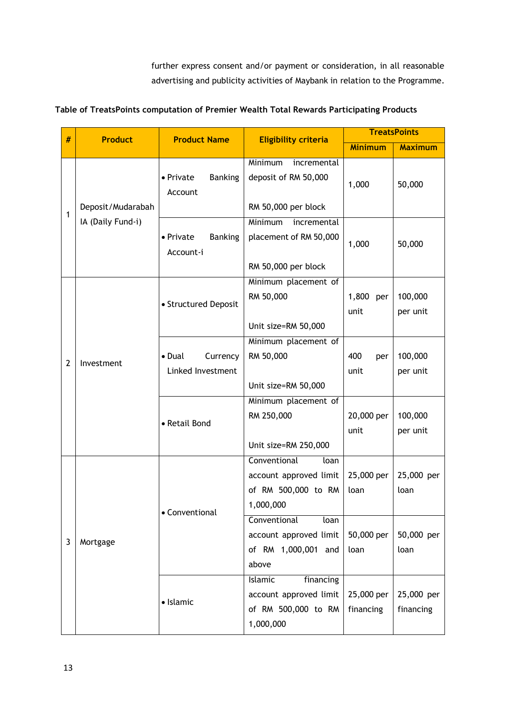further express consent and/or payment or consideration, in all reasonable advertising and publicity activities of Maybank in relation to the Programme.

| Table of TreatsPoints computation of Premier Wealth Total Rewards Participating Products |  |  |
|------------------------------------------------------------------------------------------|--|--|
|                                                                                          |  |  |

| # | <b>Product</b>        | <b>Product Name</b>                      | <b>Eligibility criteria</b>                                                               | <b>TreatsPoints</b>     |                         |
|---|-----------------------|------------------------------------------|-------------------------------------------------------------------------------------------|-------------------------|-------------------------|
|   |                       |                                          |                                                                                           | <b>Minimum</b>          | <b>Maximum</b>          |
| 1 | Deposit/Mudarabah     | <b>Banking</b><br>• Private<br>Account   | Minimum<br>incremental<br>deposit of RM 50,000<br>RM 50,000 per block                     | 1,000                   | 50,000                  |
|   | IA (Daily Fund-i)     | • Private<br><b>Banking</b><br>Account-i | <b>Minimum</b><br>incremental<br>placement of RM 50,000<br>RM 50,000 per block            | 1,000                   | 50,000                  |
|   |                       | • Structured Deposit                     | Minimum placement of<br>RM 50,000<br>Unit size=RM 50,000                                  | 1,800<br>per<br>unit    | 100,000<br>per unit     |
| 2 | Investment            | Currency<br>• Dual<br>Linked Investment  | Minimum placement of<br>RM 50,000<br>Unit size=RM 50,000                                  | 400<br>per<br>unit      | 100,000<br>per unit     |
|   |                       | • Retail Bond                            | Minimum placement of<br>RM 250,000<br>Unit size=RM 250,000                                | 20,000 per<br>unit      | 100,000<br>per unit     |
|   |                       | • Conventional                           | Conventional<br>loan<br>account approved limit<br>of RM 500,000 to RM<br>1,000,000        | 25,000 per<br>loan      | 25,000 per<br>loan      |
| 3 | Mortgage<br>· Islamic |                                          | Conventional<br>loan<br>account approved limit<br>of RM 1,000,001 and<br>above            | 50,000 per<br>loan      | 50,000 per<br>loan      |
|   |                       |                                          | <b>Islamic</b><br>financing<br>account approved limit<br>of RM 500,000 to RM<br>1,000,000 | 25,000 per<br>financing | 25,000 per<br>financing |